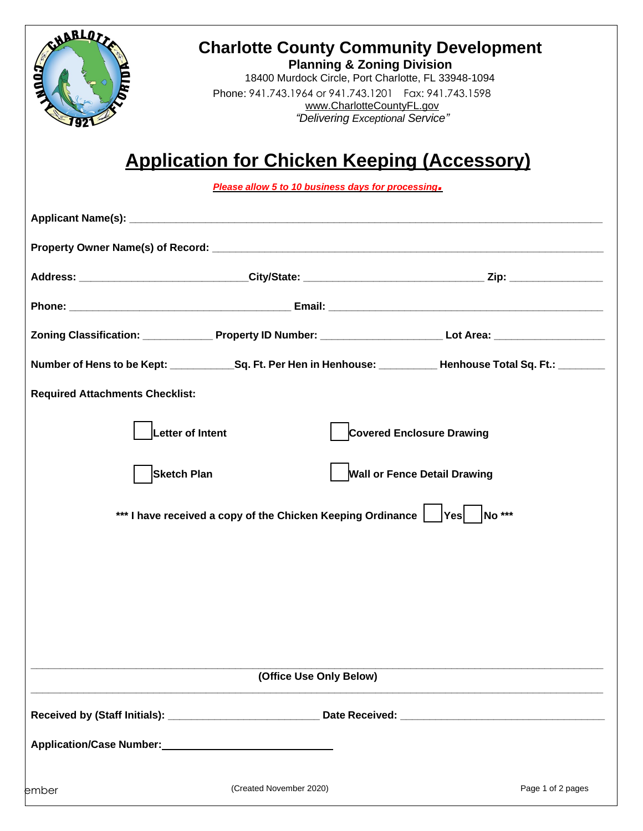

## **Charlotte County Community Development**

**Planning & Zoning Division** 18400 Murdock Circle, Port Charlotte, FL 33948-1094 Phone: 941.743.1964 or 941.743.1201 Fax: 941.743.1598 [www.CharlotteCountyFL.gov](http://www.charlottecountyfl.com/) *"Delivering Exceptional Service"*

# **Application for Chicken Keeping (Accessory)**

*Please allow 5 to 10 business days for processing.*

|                                                                                   |                         | Number of Hens to be Kept: _______________Sq. Ft. Per Hen in Henhouse: ___________ Henhouse Total Sq. Ft.: ________ |  |  |
|-----------------------------------------------------------------------------------|-------------------------|---------------------------------------------------------------------------------------------------------------------|--|--|
| <b>Required Attachments Checklist:</b>                                            |                         |                                                                                                                     |  |  |
| Letter of Intent<br><b>Covered Enclosure Drawing</b>                              |                         |                                                                                                                     |  |  |
| <b>Sketch Plan</b>                                                                |                         | <b>Wall or Fence Detail Drawing</b>                                                                                 |  |  |
| *** I have received a copy of the Chicken Keeping Ordinance  <br>$ Yes $ $ No***$ |                         |                                                                                                                     |  |  |
|                                                                                   |                         |                                                                                                                     |  |  |
|                                                                                   |                         |                                                                                                                     |  |  |
|                                                                                   |                         |                                                                                                                     |  |  |
|                                                                                   |                         |                                                                                                                     |  |  |
|                                                                                   | (Office Use Only Below) |                                                                                                                     |  |  |
|                                                                                   |                         |                                                                                                                     |  |  |
|                                                                                   |                         |                                                                                                                     |  |  |
|                                                                                   |                         |                                                                                                                     |  |  |
| ember                                                                             | (Created November 2020) | Page 1 of 2 pages                                                                                                   |  |  |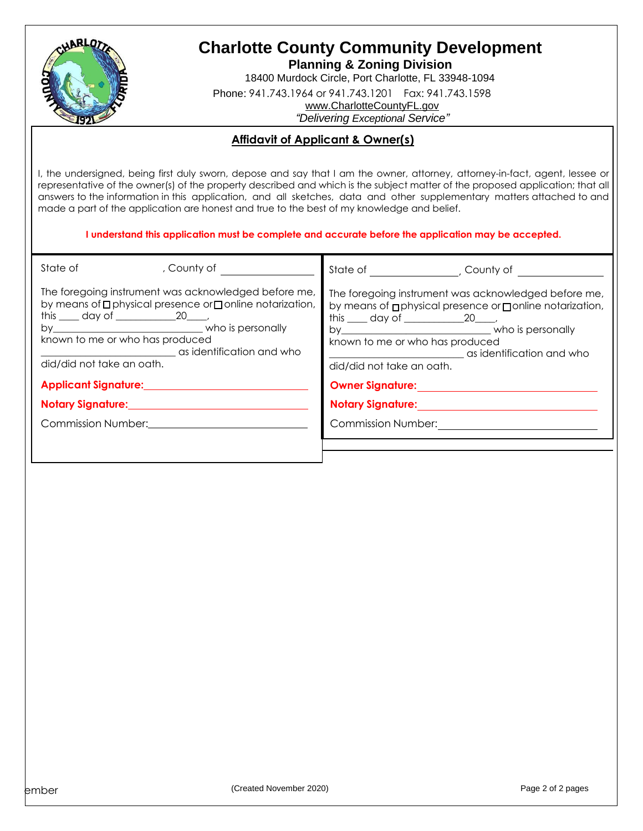

### **Charlotte County Community Development**

**Planning & Zoning Division**

18400 Murdock Circle, Port Charlotte, FL 33948-1094

Phone: 941.743.1964 or 941.743.1201 Fax: 941.743.1598

[www.CharlotteCountyFL.gov](http://www.charlottecountyfl.com/)

*"Delivering Exceptional Service"*

#### **Affidavit of Applicant & Owner(s)**

I, the undersigned, being first duly sworn, depose and say that I am the owner, attorney, attorney-in-fact, agent, lessee or representative of the owner(s) of the property described and which is the subject matter of the proposed application; that all answers to the information in this application, and all sketches, data and other supplementary matters attached to and made a part of the application are honest and true to the best of my knowledge and belief.

#### **I understand this application must be complete and accurate before the application may be accepted.**

| State of                                                                                                                                                                                                                                                            | , County of | State of The County of                                                                                                                                                                                                                                             |  |  |
|---------------------------------------------------------------------------------------------------------------------------------------------------------------------------------------------------------------------------------------------------------------------|-------------|--------------------------------------------------------------------------------------------------------------------------------------------------------------------------------------------------------------------------------------------------------------------|--|--|
| The foregoing instrument was acknowledged before me,<br>by means of <b>p</b> physical presence or <b>p</b> online notarization,<br>this $\_\_$ day of $\_\_$ 20 $\_\_$<br>known to me or who has produced<br>as identification and who<br>did/did not take an oath. |             | The foregoing instrument was acknowledged before me,<br>by means of <b>p</b> physical presence or <b>ponline</b> notarization,<br>this $\_\_$ day of $\_\_$ 20 $\_\_$<br>known to me or who has produced<br>as identification and who<br>did/did not take an oath. |  |  |
|                                                                                                                                                                                                                                                                     |             | Owner Signature: New York Contract on the Signature:                                                                                                                                                                                                               |  |  |
| Notary Signature: Manual Material Andrews Manual Manual Andrews                                                                                                                                                                                                     |             | <b>Notary Signature:</b> Notary Signature:                                                                                                                                                                                                                         |  |  |
| Commission Number: 2008                                                                                                                                                                                                                                             |             | <b>Commission Number:</b>                                                                                                                                                                                                                                          |  |  |
|                                                                                                                                                                                                                                                                     |             |                                                                                                                                                                                                                                                                    |  |  |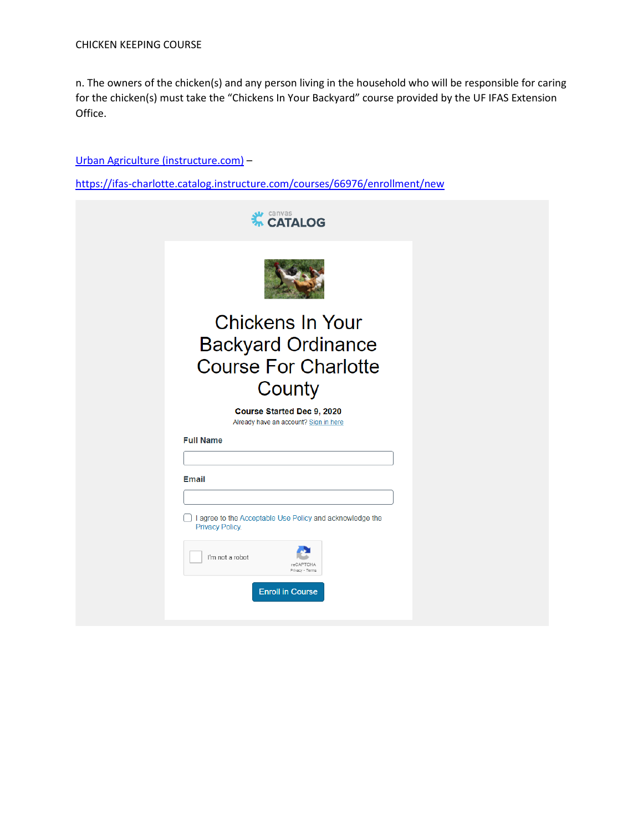n. The owners of the chicken(s) and any person living in the household who will be responsible for caring for the chicken(s) must take the "Chickens In Your Backyard" course provided by the UF IFAS Extension Office.

#### [Urban Agriculture \(instructure.com\)](https://ifas-charlotte.catalog.instructure.com/courses/66976/enrollment/new) –

<https://ifas-charlotte.catalog.instructure.com/courses/66976/enrollment/new>

| canvas<br><b><i>M</i></b> CATALOG                                                                                                                                                |  |
|----------------------------------------------------------------------------------------------------------------------------------------------------------------------------------|--|
|                                                                                                                                                                                  |  |
| <b>Chickens In Your</b><br><b>Backyard Ordinance</b><br><b>Course For Charlotte</b><br>County                                                                                    |  |
| Course Started Dec 9, 2020<br>Already have an account? Sign in here                                                                                                              |  |
| <b>Full Name</b>                                                                                                                                                                 |  |
| <b>Email</b><br>I agree to the Acceptable Use Policy and acknowledge the<br><b>Privacy Policy.</b><br>I'm not a robot<br>reCAPTCHA<br>Privacy - Terms<br><b>Enroll in Course</b> |  |